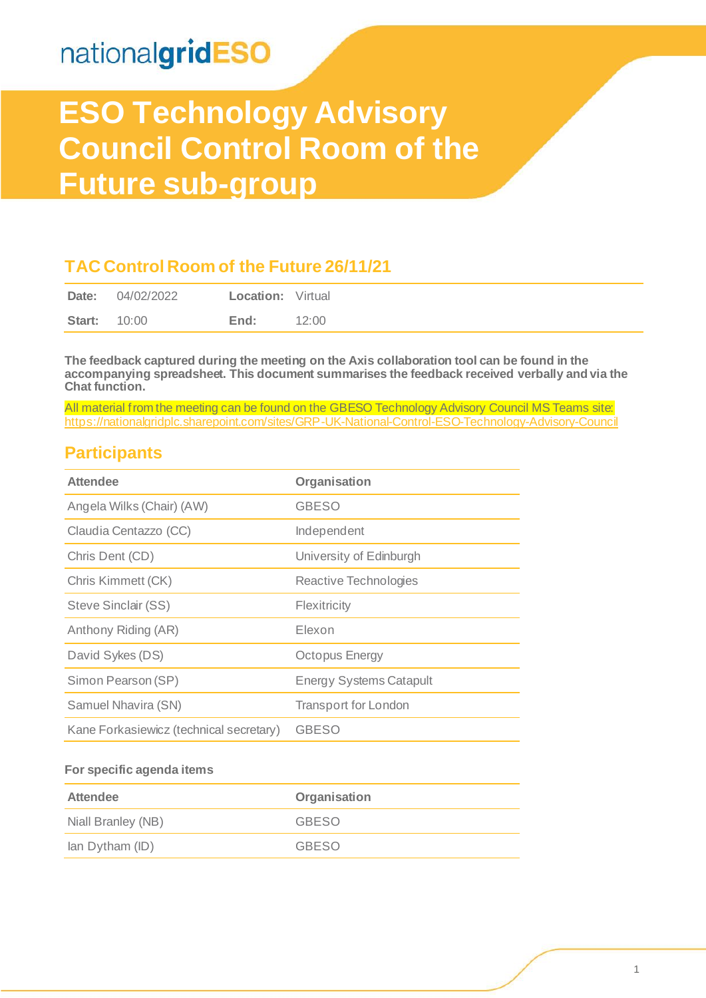# nationalgridESO

# **ESO Technology Advisory Council Control Room of the Future sub-group**

#### **TAC Control Room of the Future 26/11/21**

| Date:               | 04/02/2022 | <b>Location:</b> Virtual |       |
|---------------------|------------|--------------------------|-------|
| <b>Start: 10:00</b> |            | End:                     | 12:00 |

**The feedback captured during the meeting on the Axis collaboration tool can be found in the accompanying spreadsheet. This document summarises the feedback received verbally and via the Chat function.** 

All material from the meeting can be found on the GBESO Technology Advisory Council MS Teams site: <https://nationalgridplc.sharepoint.com/sites/GRP-UK-National-Control-ESO-Technology-Advisory-Council>

#### **Participants**

| <b>Attendee</b>                         | Organisation                   |
|-----------------------------------------|--------------------------------|
| Angela Wilks (Chair) (AW)               | <b>GBESO</b>                   |
| Claudia Centazzo (CC)                   | Independent                    |
| Chris Dent (CD)                         | University of Edinburgh        |
| Chris Kimmett (CK)                      | Reactive Technologies          |
| Steve Sinclair (SS)                     | Flexitricity                   |
| Anthony Riding (AR)                     | Elexon                         |
| David Sykes (DS)                        | <b>Octopus Energy</b>          |
| Simon Pearson (SP)                      | <b>Energy Systems Catapult</b> |
| Samuel Nhavira (SN)                     | <b>Transport for London</b>    |
| Kane Forkasiewicz (technical secretary) | <b>GBESO</b>                   |

#### **For specific agenda items**

| Attendee           | Organisation |  |  |
|--------------------|--------------|--|--|
| Niall Branley (NB) | <b>GBESO</b> |  |  |
| lan Dytham (ID)    | <b>GBESO</b> |  |  |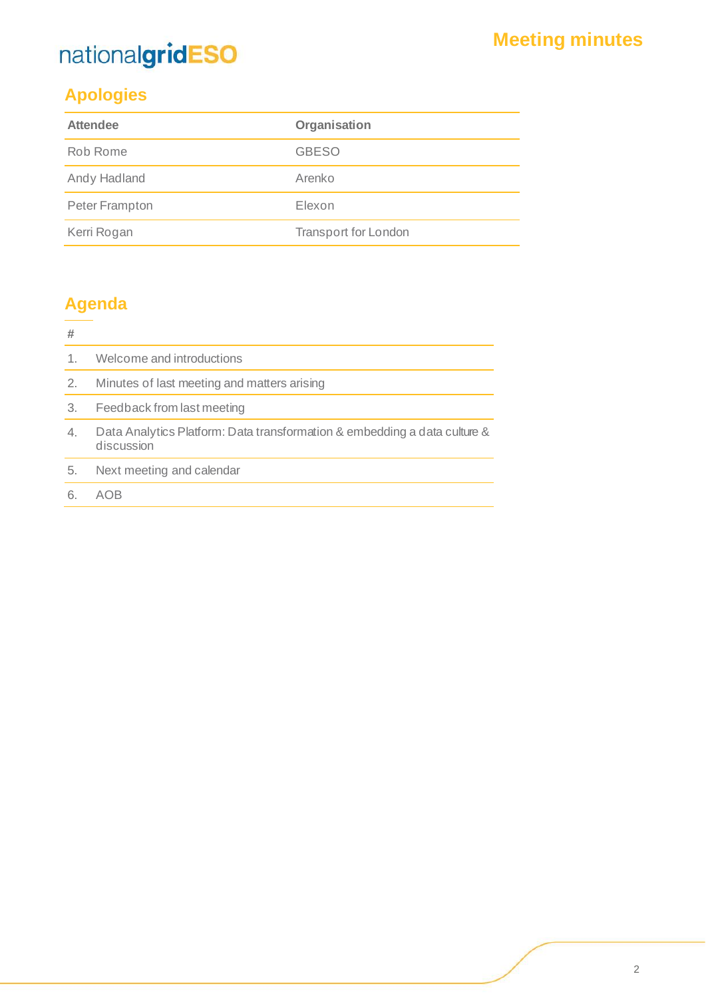# nationalgridESO

### **Apologies**

| <b>Attendee</b> | Organisation                |  |  |
|-----------------|-----------------------------|--|--|
| Rob Rome        | <b>GBESO</b>                |  |  |
| Andy Hadland    | Arenko                      |  |  |
| Peter Frampton  | Elexon                      |  |  |
| Kerri Rogan     | <b>Transport for London</b> |  |  |

### **Agenda**

| #  |                                                                                         |
|----|-----------------------------------------------------------------------------------------|
| 1. | Welcome and introductions                                                               |
| 2. | Minutes of last meeting and matters arising                                             |
| 3. | Feedback from last meeting                                                              |
| 4. | Data Analytics Platform: Data transformation & embedding a data culture &<br>discussion |
| 5. | Next meeting and calendar                                                               |
|    |                                                                                         |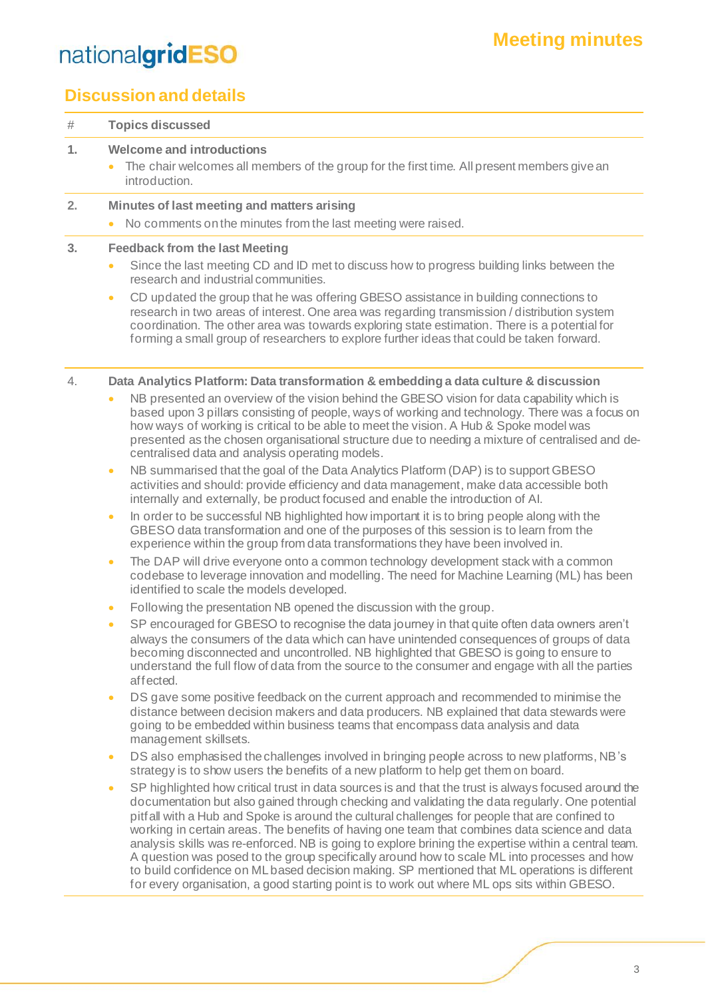### **Meeting minutes**

# nationalgridESO

### **Discussion and details**

| #  | <b>Topics discussed</b>                                                                                                                                                                                                                                                                                                                                                                                                                                                                                                                                                                                                                                                                                                                                                                                                                                                                                                                                                                                                                                                                                                                                                                                                                                                                                                                                                                                                                                                                                                                                                                                                                                       |
|----|---------------------------------------------------------------------------------------------------------------------------------------------------------------------------------------------------------------------------------------------------------------------------------------------------------------------------------------------------------------------------------------------------------------------------------------------------------------------------------------------------------------------------------------------------------------------------------------------------------------------------------------------------------------------------------------------------------------------------------------------------------------------------------------------------------------------------------------------------------------------------------------------------------------------------------------------------------------------------------------------------------------------------------------------------------------------------------------------------------------------------------------------------------------------------------------------------------------------------------------------------------------------------------------------------------------------------------------------------------------------------------------------------------------------------------------------------------------------------------------------------------------------------------------------------------------------------------------------------------------------------------------------------------------|
| 1. | <b>Welcome and introductions</b><br>The chair welcomes all members of the group for the first time. All present members give an<br>$\bullet$<br>introduction.                                                                                                                                                                                                                                                                                                                                                                                                                                                                                                                                                                                                                                                                                                                                                                                                                                                                                                                                                                                                                                                                                                                                                                                                                                                                                                                                                                                                                                                                                                 |
| 2. | Minutes of last meeting and matters arising<br>No comments on the minutes from the last meeting were raised.<br>$\bullet$                                                                                                                                                                                                                                                                                                                                                                                                                                                                                                                                                                                                                                                                                                                                                                                                                                                                                                                                                                                                                                                                                                                                                                                                                                                                                                                                                                                                                                                                                                                                     |
| 3. | <b>Feedback from the last Meeting</b><br>Since the last meeting CD and ID met to discuss how to progress building links between the<br>$\bullet$<br>research and industrial communities.<br>CD updated the group that he was offering GBESO assistance in building connections to<br>$\bullet$<br>research in two areas of interest. One area was regarding transmission / distribution system<br>coordination. The other area was towards exploring state estimation. There is a potential for<br>forming a small group of researchers to explore further ideas that could be taken forward.                                                                                                                                                                                                                                                                                                                                                                                                                                                                                                                                                                                                                                                                                                                                                                                                                                                                                                                                                                                                                                                                 |
| 4. | Data Analytics Platform: Data transformation & embedding a data culture & discussion<br>NB presented an overview of the vision behind the GBESO vision for data capability which is<br>$\bullet$<br>based upon 3 pillars consisting of people, ways of working and technology. There was a focus on<br>how ways of working is critical to be able to meet the vision. A Hub & Spoke model was<br>presented as the chosen organisational structure due to needing a mixture of centralised and de-<br>centralised data and analysis operating models.<br>NB summarised that the goal of the Data Analytics Platform (DAP) is to support GBESO<br>$\bullet$<br>activities and should: provide efficiency and data management, make data accessible both<br>internally and externally, be product focused and enable the introduction of AI.<br>In order to be successful NB highlighted how important it is to bring people along with the<br>$\bullet$<br>GBESO data transformation and one of the purposes of this session is to learn from the<br>experience within the group from data transformations they have been involved in.<br>The DAP will drive everyone onto a common technology development stack with a common<br>$\bullet$<br>codebase to leverage innovation and modelling. The need for Machine Learning (ML) has been<br>identified to scale the models developed.<br>Following the presentation NB opened the discussion with the group.<br>$\bullet$<br>SP encouraged for GBESO to recognise the data journey in that quite often data owners aren't<br>$\bullet$                                                                         |
|    | always the consumers of the data which can have unintended consequences of groups of data<br>becoming disconnected and uncontrolled. NB highlighted that GBESO is going to ensure to<br>understand the full flow of data from the source to the consumer and engage with all the parties<br>affected.<br>DS gave some positive feedback on the current approach and recommended to minimise the<br>$\bullet$<br>distance between decision makers and data producers. NB explained that data stewards were<br>going to be embedded within business teams that encompass data analysis and data<br>management skillsets.<br>DS also emphasised the challenges involved in bringing people across to new platforms, NB's<br>$\bullet$<br>strategy is to show users the benefits of a new platform to help get them on board.<br>SP highlighted how critical trust in data sources is and that the trust is always focused around the<br>$\bullet$<br>documentation but also gained through checking and validating the data regularly. One potential<br>pitfall with a Hub and Spoke is around the cultural challenges for people that are confined to<br>working in certain areas. The benefits of having one team that combines data science and data<br>analysis skills was re-enforced. NB is going to explore brining the expertise within a central team.<br>A question was posed to the group specifically around how to scale ML into processes and how<br>to build confidence on ML based decision making. SP mentioned that ML operations is different<br>for every organisation, a good starting point is to work out where ML ops sits within GBESO. |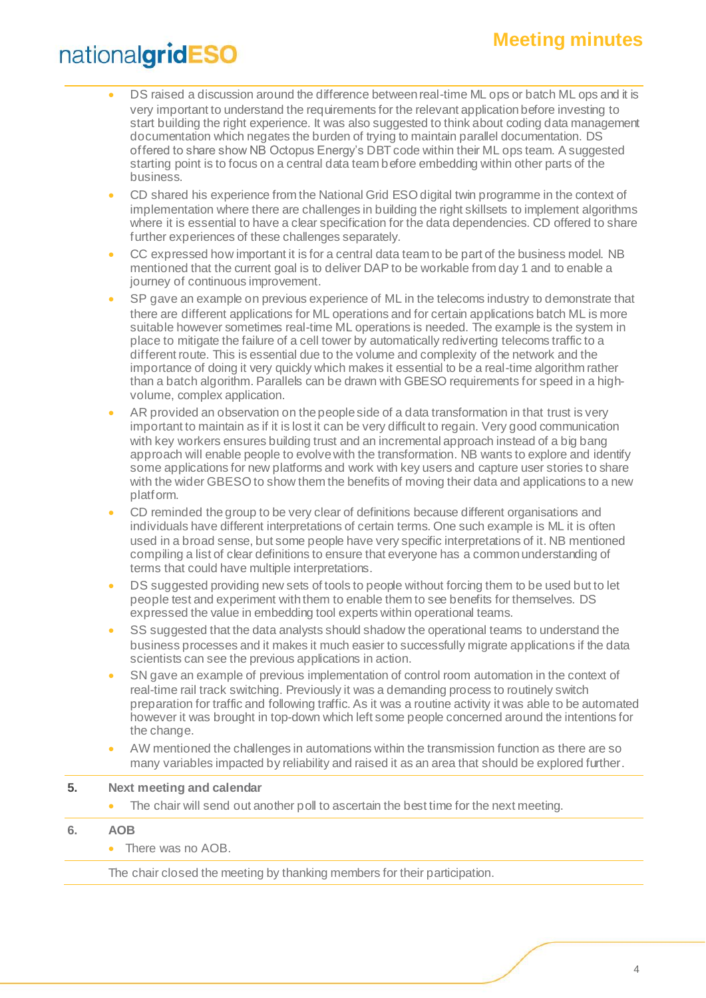### **Meeting minutes**

## nationalgridESO

- DS raised a discussion around the difference between real-time ML ops or batch ML ops and it is very important to understand the requirements for the relevant application before investing to start building the right experience. It was also suggested to think about coding data management documentation which negates the burden of trying to maintain parallel documentation. DS offered to share show NB Octopus Energy's DBT code within their ML ops team. A suggested starting point is to focus on a central data team before embedding within other parts of the business.
- CD shared his experience from the National Grid ESO digital twin programme in the context of implementation where there are challenges in building the right skillsets to implement algorithms where it is essential to have a clear specification for the data dependencies. CD offered to share further experiences of these challenges separately.
- CC expressed how important it is for a central data team to be part of the business model. NB mentioned that the current goal is to deliver DAP to be workable from day 1 and to enable a journey of continuous improvement.
- SP gave an example on previous experience of ML in the telecoms industry to demonstrate that there are different applications for ML operations and for certain applications batch ML is more suitable however sometimes real-time ML operations is needed. The example is the system in place to mitigate the failure of a cell tower by automatically rediverting telecoms traffic to a different route. This is essential due to the volume and complexity of the network and the importance of doing it very quickly which makes it essential to be a real-time algorithm rather than a batch algorithm. Parallels can be drawn with GBESO requirements for speed in a highvolume, complex application.
- AR provided an observation on the people side of a data transformation in that trust is very important to maintain as if it is lost it can be very difficult to regain. Very good communication with key workers ensures building trust and an incremental approach instead of a big bang approach will enable people to evolve with the transformation. NB wants to explore and identify some applications for new platforms and work with key users and capture user stories to share with the wider GBESO to show them the benefits of moving their data and applications to a new platform.
- CD reminded the group to be very clear of definitions because different organisations and individuals have different interpretations of certain terms. One such example is ML it is often used in a broad sense, but some people have very specific interpretations of it. NB mentioned compiling a list of clear definitions to ensure that everyone has a common understanding of terms that could have multiple interpretations.
- DS suggested providing new sets of tools to people without forcing them to be used but to let people test and experiment with them to enable them to see benefits for themselves. DS expressed the value in embedding tool experts within operational teams.
- SS suggested that the data analysts should shadow the operational teams to understand the business processes and it makes it much easier to successfully migrate applications if the data scientists can see the previous applications in action.
- SN gave an example of previous implementation of control room automation in the context of real-time rail track switching. Previously it was a demanding process to routinely switch preparation for traffic and following traffic. As it was a routine activity it was able to be automated however it was brought in top-down which left some people concerned around the intentions for the change.
- AW mentioned the challenges in automations within the transmission function as there are so many variables impacted by reliability and raised it as an area that should be explored further.

#### **5. Next meeting and calendar**

- The chair will send out another poll to ascertain the best time for the next meeting.
- **6. AOB**
	- There was no AOB.

The chair closed the meeting by thanking members for their participation.